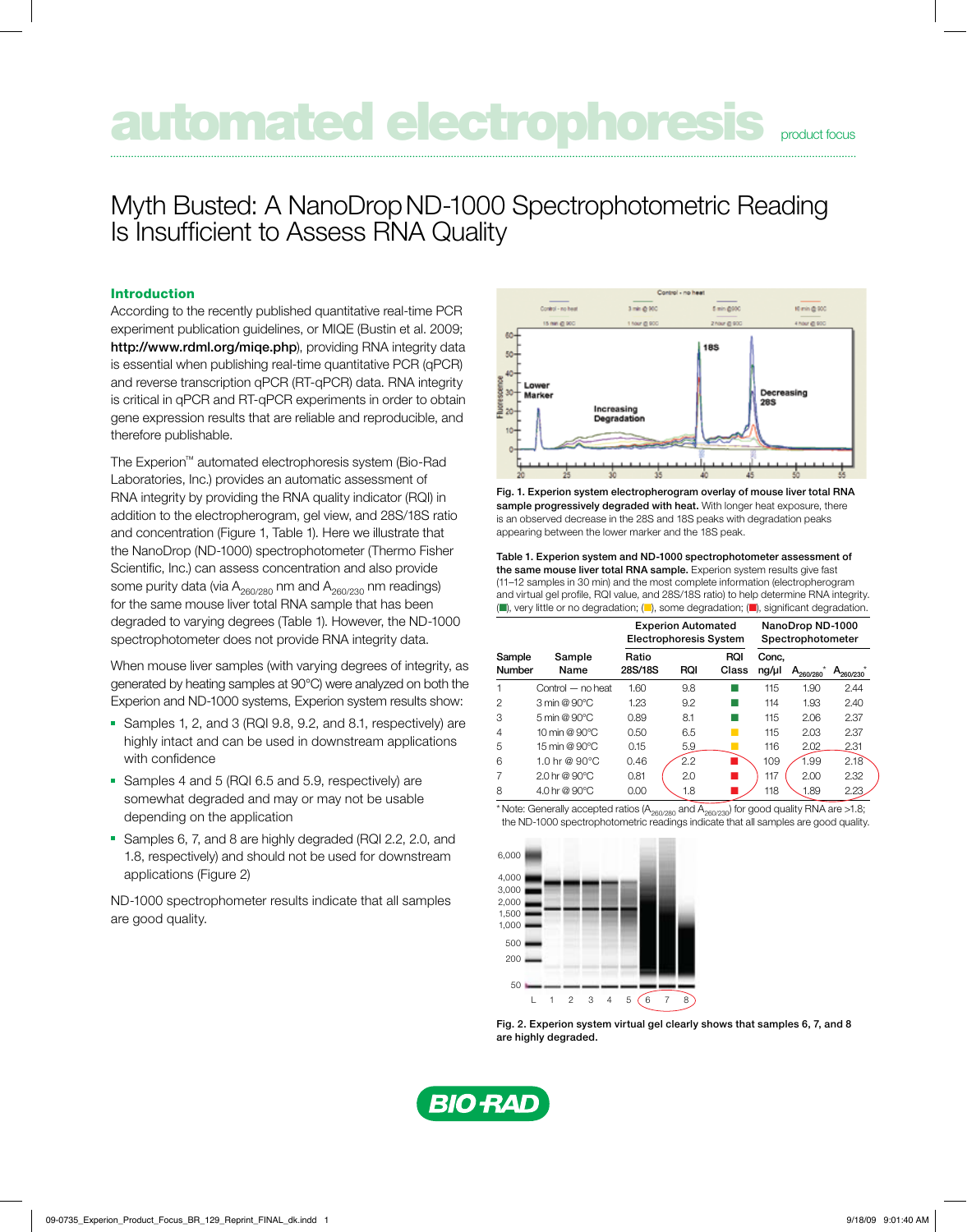# **Dimated electrophoresis research and allegent constraints**

## Myth Busted: A NanoDropND-1000 Spectrophotometric Reading Is Insufficient to Assess RNA Quality

#### Introduction

According to the recently published quantitative real-time PCR experiment publication guidelines, or MIQE (Bustin et al. 2009; http://www.rdml.org/miqe.php), providing RNA integrity data is essential when publishing real-time quantitative PCR (qPCR) and reverse transcription qPCR (RT-qPCR) data. RNA integrity is critical in qPCR and RT-qPCR experiments in order to obtain gene expression results that are reliable and reproducible, and therefore publishable.

The Experion™ automated electrophoresis system (Bio-Rad Laboratories, Inc.) provides an automatic assessment of RNA integrity by providing the RNA quality indicator (RQI) in addition to the electropherogram, gel view, and 28S/18S ratio and concentration (Figure 1, Table 1). Here we illustrate that the NanoDrop (ND-1000) spectrophotometer (Thermo Fisher Scientific, Inc.) can assess concentration and also provide some purity data (via  $A_{260/280}$  nm and  $A_{260/230}$  nm readings) for the same mouse liver total RNA sample that has been degraded to varying degrees (Table 1). However, the ND-1000 spectrophotometer does not provide RNA integrity data.

When mouse liver samples (with varying degrees of integrity, as generated by heating samples at 90°C) were analyzed on both the Experion and ND-1000 systems, Experion system results show:

- Samples 1, 2, and 3 (RQI 9.8, 9.2, and 8.1, respectively) are highly intact and can be used in downstream applications with confidence
- **-** Samples 4 and 5 (RQI 6.5 and 5.9, respectively) are somewhat degraded and may or may not be usable depending on the application
- Samples 6, 7, and 8 are highly degraded (RQI 2.2, 2.0, and 1.8, respectively) and should not be used for downstream applications (Figure 2)

ND-1000 spectrophometer results indicate that all samples are good quality.



Fig. 1. Experion system electropherogram overlay of mouse liver total RNA sample progressively degraded with heat. With longer heat exposure, there is an observed decrease in the 28S and 18S peaks with degradation peaks appearing between the lower marker and the 18S peak.

Table 1. Experion system and ND-1000 spectrophotometer assessment of the same mouse liver total RNA sample. Experion system results give fast (11–12 samples in 30 min) and the most complete information (electropherogram and virtual gel profile, RQI value, and 28S/18S ratio) to help determine RNA integrity.  $(\blacksquare)$ , very little or no degradation;  $(\blacksquare)$ , some degradation;  $(\blacksquare)$ , significant degradation.

|                  |                                            | <b>Experion Automated</b><br><b>Electrophoresis System</b> |            |              | NanoDrop ND-1000<br>Spectrophotometer |               |               |
|------------------|--------------------------------------------|------------------------------------------------------------|------------|--------------|---------------------------------------|---------------|---------------|
| Sample<br>Number | Sample<br>Name                             | Ratio<br>28S/18S                                           | <b>RQI</b> | RQI<br>Class | Conc.<br>ng/µl                        | $A_{260/280}$ | $A_{260/230}$ |
| 1                | Control - no heat                          | 1.60                                                       | 9.8        |              | 115                                   | 1.90          | 2.44          |
| $\mathfrak{p}$   | $3 \text{ min} @ 90^{\circ}$ C             | 1.23                                                       | 9.2        |              | 114                                   | 1.93          | 2.40          |
| 3                | $5 \text{ min} @ 90^{\circ}$ C             | 0.89                                                       | 8.1        |              | 115                                   | 2.06          | 2.37          |
| 4                | 10 min @ $90^{\circ}$ C                    | 0.50                                                       | 6.5        |              | 115                                   | 2.03          | 2.37          |
| 5                | $15 \text{ min} \ @ \ 90^{\circ} \text{C}$ | 0.15                                                       | 5.9        |              | 116                                   | 2.02          | 2.31          |
| 6                | 1.0 hr @ $90^{\circ}$ C                    | 0.46                                                       | 2.2        |              | 109                                   | 1.99          | 2.18          |
| 7                | $2.0$ hr $@90^{\circ}$ C                   | 0.81                                                       | 2.0        |              | 117                                   | 2.00          | 2.32          |
| 8                | 4.0 hr @ 90 °C                             | 0.00                                                       | 1.8        |              | 118                                   | 1.89          | 2.23          |

\* Note: Generally accepted ratios (A<sub>260/280</sub> and  $\overline{A_{260/230}}$  for good quality RNA are >1.8; the ND-1000 spectrophotometric readings indicate that all samples are good quality.



Fig. 2. Experion system virtual gel clearly shows that samples 6, 7, and 8 are highly degraded.